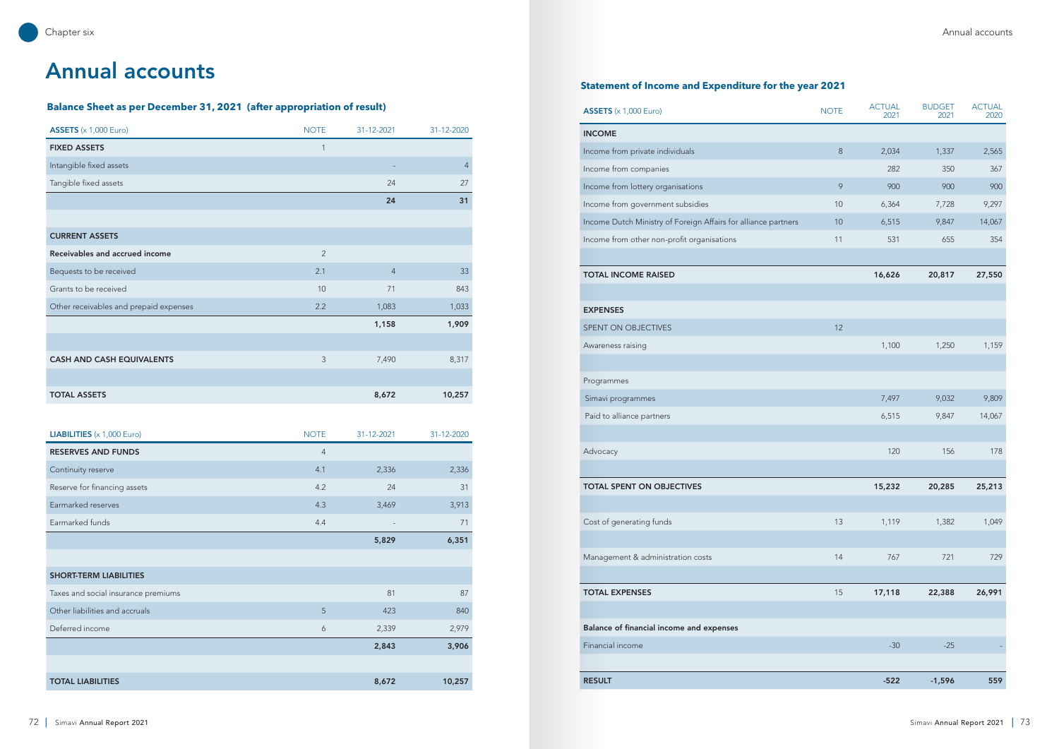## **Balance Sheet as per December 31, 2021 (after appropriation of result)**

## **Statement of Income and Expenditure for the year 2021**

| $\overline{\text{ASSETS}}$ (x 1,000 Euro) |
|-------------------------------------------|
|-------------------------------------------|

| <b>ASSETS</b> $(x 1,000 \text{ Euro})$ | <b>NOTE</b>    | 31-12-2021     | 31-12-2020     |
|----------------------------------------|----------------|----------------|----------------|
| <b>FIXED ASSETS</b>                    | $\mathbf{1}$   |                |                |
| Intangible fixed assets                |                |                | $\overline{4}$ |
| Tangible fixed assets                  |                | 24             | 27             |
|                                        |                | 24             | 31             |
|                                        |                |                |                |
| <b>CURRENT ASSETS</b>                  |                |                |                |
| Receivables and accrued income         | $\overline{2}$ |                |                |
| Bequests to be received                | 2.1            | $\overline{4}$ | 33             |
| Grants to be received                  | 10             | 71             | 843            |
| Other receivables and prepaid expenses | 2.2            | 1,083          | 1,033          |
|                                        |                | 1,158          | 1,909          |
|                                        |                |                |                |
| <b>CASH AND CASH EQUIVALENTS</b>       | 3              | 7,490          | 8,317          |
|                                        |                |                |                |
| <b>TOTAL ASSETS</b>                    |                | 8,672          | 10,257         |

| <b>ASSETS</b> $(x 1,000 \text{ Euro})$                         | <b>NOTE</b> | <b>ACTUAL</b><br>2021 | <b>BUDGET</b><br>2021 | <b>ACTUAL</b><br>2020 |
|----------------------------------------------------------------|-------------|-----------------------|-----------------------|-----------------------|
| <b>INCOME</b>                                                  |             |                       |                       |                       |
| Income from private individuals                                | $\,8\,$     | 2,034                 | 1,337                 | 2,565                 |
| Income from companies                                          |             | 282                   | 350                   | 367                   |
| Income from lottery organisations                              | 9           | 900                   | 900                   | 900                   |
| Income from government subsidies                               | 10          | 6,364                 | 7,728                 | 9,297                 |
| Income Dutch Ministry of Foreign Affairs for alliance partners | 10          | 6,515                 | 9,847                 | 14,067                |
| Income from other non-profit organisations                     | 11          | 531                   | 655                   | 354                   |
| <b>TOTAL INCOME RAISED</b>                                     |             | 16,626                | 20,817                | 27,550                |
| <b>EXPENSES</b>                                                |             |                       |                       |                       |
| SPENT ON OBJECTIVES                                            | 12          |                       |                       |                       |
| Awareness raising                                              |             | 1,100                 | 1,250                 | 1,159                 |
|                                                                |             |                       |                       |                       |
| Programmes                                                     |             |                       |                       |                       |
| Simavi programmes                                              |             | 7,497                 | 9,032                 | 9,809                 |
| Paid to alliance partners                                      |             | 6,515                 | 9,847                 | 14,067                |
|                                                                |             |                       |                       |                       |
| Advocacy                                                       |             | 120                   | 156                   | 178                   |
| <b>TOTAL SPENT ON OBJECTIVES</b>                               |             | 15,232                | 20,285                | 25,213                |
|                                                                |             |                       |                       |                       |
| Cost of generating funds                                       | 13          | 1,119                 | 1,382                 | 1,049                 |
| Management & administration costs                              | 14          | 767                   | 721                   | 729                   |
|                                                                |             |                       |                       |                       |
| <b>TOTAL EXPENSES</b>                                          | 15          | 17,118                | 22,388                | 26,991                |
|                                                                |             |                       |                       |                       |
| Balance of financial income and expenses                       |             |                       |                       |                       |
| Financial income                                               |             | $-30$                 | $-25$                 |                       |
| <b>RESULT</b>                                                  |             | $-522$                | $-1,596$              | 559                   |
|                                                                |             |                       |                       |                       |

| <b>LIABILITIES</b> $(x 1,000$ Euro) | <b>NOTE</b>      | 31-12-2021 | 31-12-2020 |
|-------------------------------------|------------------|------------|------------|
| <b>RESERVES AND FUNDS</b>           | $\overline{4}$   |            |            |
| Continuity reserve                  | 4.1              | 2,336      | 2,336      |
| Reserve for financing assets        | 4.2              | 24         | 31         |
| Earmarked reserves                  | 4.3              | 3,469      | 3,913      |
| Earmarked funds                     | 4.4              |            | 71         |
|                                     |                  | 5,829      | 6,351      |
|                                     |                  |            |            |
| <b>SHORT-TERM LIABILITIES</b>       |                  |            |            |
| Taxes and social insurance premiums |                  | 81         | 87         |
| Other liabilities and accruals      | 5                | 423        | 840        |
| Deferred income                     | $\boldsymbol{6}$ | 2,339      | 2,979      |
|                                     |                  | 2,843      | 3,906      |
|                                     |                  |            |            |
| <b>TOTAL LIABILITIES</b>            |                  | 8,672      | 10,257     |

# Annual accounts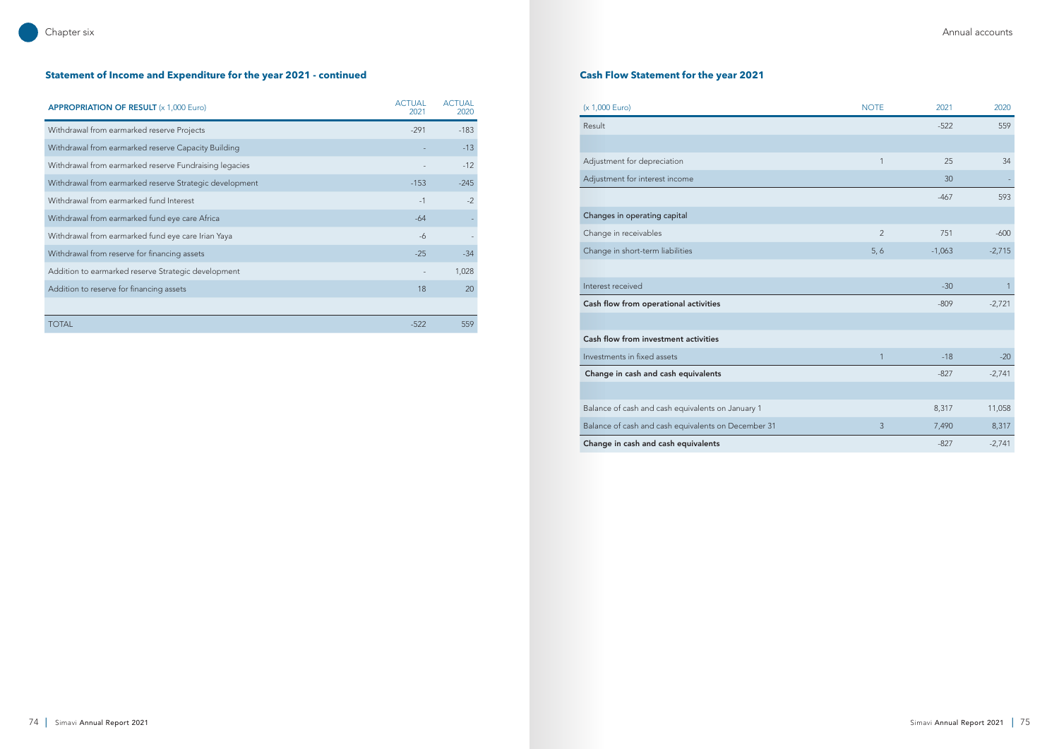## **Statement of Income and Expenditure for the year 2021 - continued Cash Flow Statement for the year 2021**

## Chapter six Annual accounts

| <b>APPROPRIATION OF RESULT (x 1,000 Euro)</b>           | <b>ACTUAL</b><br>2021 | <b>ACTUAL</b><br>2020 |
|---------------------------------------------------------|-----------------------|-----------------------|
| Withdrawal from earmarked reserve Projects              | $-291$                | $-183$                |
| Withdrawal from earmarked reserve Capacity Building     |                       | $-13$                 |
| Withdrawal from earmarked reserve Fundraising legacies  |                       | $-12$                 |
| Withdrawal from earmarked reserve Strategic development | $-153$                | $-245$                |
| Withdrawal from earmarked fund Interest                 | $-1$                  | $-2$                  |
| Withdrawal from earmarked fund eye care Africa          | $-64$                 |                       |
| Withdrawal from earmarked fund eye care Irian Yaya      | $-6$                  |                       |
| Withdrawal from reserve for financing assets            | $-25$                 | $-34$                 |
| Addition to earmarked reserve Strategic development     |                       | 1,028                 |
| Addition to reserve for financing assets                | 18                    | 20                    |
|                                                         |                       |                       |
| <b>TOTAL</b>                                            | $-522$                | 559                   |
|                                                         |                       |                       |

| (x 1,000 Euro)                                      | <b>NOTE</b>    | 2021     | 2020         |
|-----------------------------------------------------|----------------|----------|--------------|
| Result                                              |                | $-522$   | 559          |
|                                                     |                |          |              |
| Adjustment for depreciation                         | 1              | 25       | 34           |
| Adjustment for interest income                      |                | 30       |              |
|                                                     |                | $-467$   | 593          |
| Changes in operating capital                        |                |          |              |
| Change in receivables                               | $\overline{2}$ | 751      | $-600$       |
| Change in short-term liabilities                    | 5, 6           | $-1,063$ | $-2,715$     |
|                                                     |                |          |              |
| Interest received                                   |                | $-30$    | $\mathbf{1}$ |
| Cash flow from operational activities               |                | $-809$   | $-2,721$     |
|                                                     |                |          |              |
| Cash flow from investment activities                |                |          |              |
| Investments in fixed assets                         | 1              | $-18$    | $-20$        |
| Change in cash and cash equivalents                 |                | $-827$   | $-2,741$     |
|                                                     |                |          |              |
| Balance of cash and cash equivalents on January 1   |                | 8,317    | 11,058       |
| Balance of cash and cash equivalents on December 31 | 3              | 7,490    | 8,317        |
| Change in cash and cash equivalents                 |                | $-827$   | $-2,741$     |

| (x 1,000 Euro)                                      | <b>NOTE</b>    | 2021     | 2020           |
|-----------------------------------------------------|----------------|----------|----------------|
| Result                                              |                | $-522$   | 559            |
|                                                     |                |          |                |
| Adjustment for depreciation                         | $\mathbf{1}$   | 25       | 34             |
| Adjustment for interest income                      |                | 30       |                |
|                                                     |                | $-467$   | 593            |
| Changes in operating capital                        |                |          |                |
| Change in receivables                               | $\overline{2}$ | 751      | $-600$         |
| Change in short-term liabilities                    | 5, 6           | $-1,063$ | $-2,715$       |
|                                                     |                |          |                |
| Interest received                                   |                | $-30$    | $\overline{1}$ |
| Cash flow from operational activities               |                | $-809$   | $-2,721$       |
|                                                     |                |          |                |
| Cash flow from investment activities                |                |          |                |
| Investments in fixed assets                         | $\mathbf{1}$   | $-18$    | $-20$          |
| Change in cash and cash equivalents                 |                | $-827$   | $-2,741$       |
|                                                     |                |          |                |
| Balance of cash and cash equivalents on January 1   |                | 8,317    | 11,058         |
| Balance of cash and cash equivalents on December 31 | 3              | 7,490    | 8,317          |
| Change in cash and cash equivalents                 |                | $-827$   | $-2,741$       |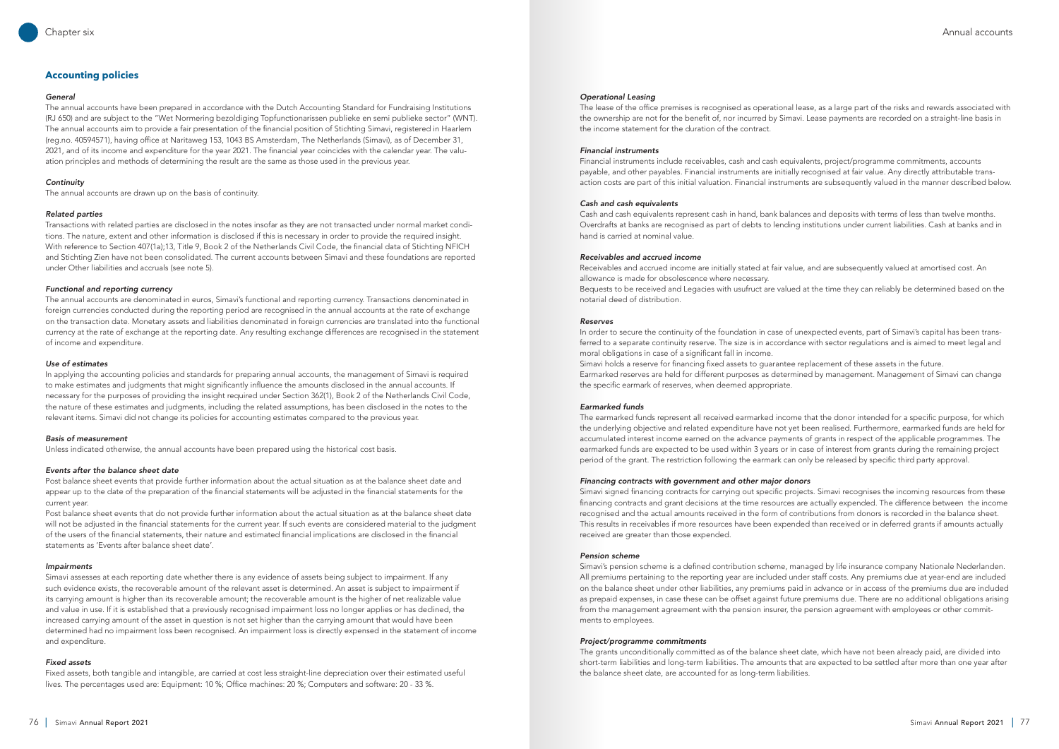## **Accounting policies**

#### *General*

The annual accounts have been prepared in accordance with the Dutch Accounting Standard for Fundraising Institutions (RJ 650) and are subject to the "Wet Normering bezoldiging Topfunctionarissen publieke en semi publieke sector" (WNT). The annual accounts aim to provide a fair presentation of the financial position of Stichting Simavi, registered in Haarlem (reg.no. 40594571), having office at Naritaweg 153, 1043 BS Amsterdam, The Netherlands (Simavi), as of December 31, 2021, and of its income and expenditure for the year 2021. The financial year coincides with the calendar year. The valuation principles and methods of determining the result are the same as those used in the previous year.

## *Continuity*

The annual accounts are drawn up on the basis of continuity.

## *Related parties*

Transactions with related parties are disclosed in the notes insofar as they are not transacted under normal market conditions. The nature, extent and other information is disclosed if this is necessary in order to provide the required insight. With reference to Section 407(1a);13, Title 9, Book 2 of the Netherlands Civil Code, the financial data of Stichting NFICH and Stichting Zien have not been consolidated. The current accounts between Simavi and these foundations are reported under Other liabilities and accruals (see note 5).

## *Functional and reporting currency*

The annual accounts are denominated in euros, Simavi's functional and reporting currency. Transactions denominated in foreign currencies conducted during the reporting period are recognised in the annual accounts at the rate of exchange on the transaction date. Monetary assets and liabilities denominated in foreign currencies are translated into the functional currency at the rate of exchange at the reporting date. Any resulting exchange differences are recognised in the statement of income and expenditure.

## *Use of estimates*

In applying the accounting policies and standards for preparing annual accounts, the management of Simavi is required to make estimates and judgments that might significantly influence the amounts disclosed in the annual accounts. If necessary for the purposes of providing the insight required under Section 362(1), Book 2 of the Netherlands Civil Code, the nature of these estimates and judgments, including the related assumptions, has been disclosed in the notes to the relevant items. Simavi did not change its policies for accounting estimates compared to the previous year.

### *Basis of measurement*

Unless indicated otherwise, the annual accounts have been prepared using the historical cost basis.

### *Events after the balance sheet date*

Post balance sheet events that provide further information about the actual situation as at the balance sheet date and appear up to the date of the preparation of the financial statements will be adjusted in the financial statements for the current year.

Post balance sheet events that do not provide further information about the actual situation as at the balance sheet date will not be adjusted in the financial statements for the current year. If such events are considered material to the judgment of the users of the financial statements, their nature and estimated financial implications are disclosed in the financial statements as 'Events after balance sheet date'.

### *Impairments*

Simavi assesses at each reporting date whether there is any evidence of assets being subject to impairment. If any such evidence exists, the recoverable amount of the relevant asset is determined. An asset is subject to impairment if its carrying amount is higher than its recoverable amount; the recoverable amount is the higher of net realizable value and value in use. If it is established that a previously recognised impairment loss no longer applies or has declined, the increased carrying amount of the asset in question is not set higher than the carrying amount that would have been determined had no impairment loss been recognised. An impairment loss is directly expensed in the statement of income and expenditure.

## *Fixed assets*

Fixed assets, both tangible and intangible, are carried at cost less straight-line depreciation over their estimated useful lives. The percentages used are: Equipment: 10 %; Office machines: 20 %; Computers and software: 20 - 33 %.

### *Operational Leasing*

The lease of the office premises is recognised as operational lease, as a large part of the risks and rewards associated with the ownership are not for the benefit of, nor incurred by Simavi. Lease payments are recorded on a straight-line basis in the income statement for the duration of the contract.

### *Financial instruments*

Financial instruments include receivables, cash and cash equivalents, project/programme commitments, accounts payable, and other payables. Financial instruments are initially recognised at fair value. Any directly attributable transaction costs are part of this initial valuation. Financial instruments are subsequently valued in the manner described below.

### *Cash and cash equivalents*

Cash and cash equivalents represent cash in hand, bank balances and deposits with terms of less than twelve months. Overdrafts at banks are recognised as part of debts to lending institutions under current liabilities. Cash at banks and in hand is carried at nominal value.

## *Receivables and accrued income*

Receivables and accrued income are initially stated at fair value, and are subsequently valued at amortised cost. An allowance is made for obsolescence where necessary. Bequests to be received and Legacies with usufruct are valued at the time they can reliably be determined based on the notarial deed of distribution.

#### *Reserves*

In order to secure the continuity of the foundation in case of unexpected events, part of Simavi's capital has been transferred to a separate continuity reserve. The size is in accordance with sector regulations and is aimed to meet legal and moral obligations in case of a significant fall in income. Simavi holds a reserve for financing fixed assets to guarantee replacement of these assets in the future. Earmarked reserves are held for different purposes as determined by management. Management of Simavi can change the specific earmark of reserves, when deemed appropriate.

## *Earmarked funds*

The earmarked funds represent all received earmarked income that the donor intended for a specific purpose, for which the underlying objective and related expenditure have not yet been realised. Furthermore, earmarked funds are held for accumulated interest income earned on the advance payments of grants in respect of the applicable programmes. The earmarked funds are expected to be used within 3 years or in case of interest from grants during the remaining project period of the grant. The restriction following the earmark can only be released by specific third party approval.

### *Financing contracts with government and other major donors*

Simavi signed financing contracts for carrying out specific projects. Simavi recognises the incoming resources from these financing contracts and grant decisions at the time resources are actually expended. The difference between the income recognised and the actual amounts received in the form of contributions from donors is recorded in the balance sheet. This results in receivables if more resources have been expended than received or in deferred grants if amounts actually received are greater than those expended.

#### *Pension scheme*

Simavi's pension scheme is a defined contribution scheme, managed by life insurance company Nationale Nederlanden. All premiums pertaining to the reporting year are included under staff costs. Any premiums due at year-end are included on the balance sheet under other liabilities, any premiums paid in advance or in access of the premiums due are included as prepaid expenses, in case these can be offset against future premiums due. There are no additional obligations arising from the management agreement with the pension insurer, the pension agreement with employees or other commitments to employees.

### *Project/programme commitments*

The grants unconditionally committed as of the balance sheet date, which have not been already paid, are divided into short-term liabilities and long-term liabilities. The amounts that are expected to be settled after more than one year after the balance sheet date, are accounted for as long-term liabilities.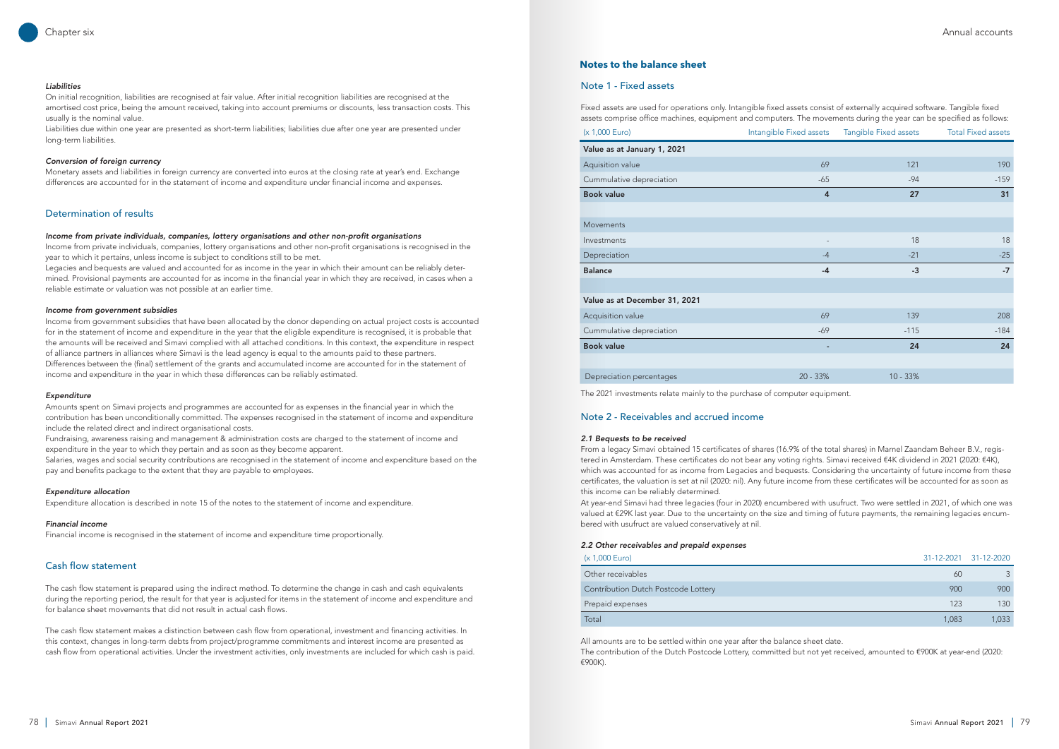## Note 2 - Receivables and accrued income

#### *2.1 Bequests to be received*

From a legacy Simavi obtained 15 certificates of shares (16.9% of the total shares) in Marnel Zaandam Beheer B.V., registered in Amsterdam. These certificates do not bear any voting rights. Simavi received €4K dividend in 2021 (2020: €4K), which was accounted for as income from Legacies and bequests. Considering the uncertainty of future income from these certificates, the valuation is set at nil (2020: nil). Any future income from these certificates will be accounted for as soon as this income can be reliably determined.

At year-end Simavi had three legacies (four in 2020) encumbered with usufruct. Two were settled in 2021, of which one was valued at €29K last year. Due to the uncertainty on the size and timing of future payments, the remaining legacies encumbered with usufruct are valued conservatively at nil.

#### *2.2 Other receivables and prepaid expenses*

| (x 1,000 Euro)                      |
|-------------------------------------|
| Other receivables                   |
| Contribution Dutch Postcode Lottery |
| Prepaid expenses                    |

 $\overline{a}$ 

## *Liabilities*

On initial recognition, liabilities are recognised at fair value. After initial recognition liabilities are recognised at the amortised cost price, being the amount received, taking into account premiums or discounts, less transaction costs. This usually is the nominal value.

Liabilities due within one year are presented as short-term liabilities; liabilities due after one year are presented under long-term liabilities.

### *Conversion of foreign currency*

Monetary assets and liabilities in foreign currency are converted into euros at the closing rate at year's end. Exchange differences are accounted for in the statement of income and expenditure under financial income and expenses.

## Determination of results

#### *Income from private individuals, companies, lottery organisations and other non-profit organisations*

Income from private individuals, companies, lottery organisations and other non-profit organisations is recognised in the year to which it pertains, unless income is subject to conditions still to be met.

Legacies and bequests are valued and accounted for as income in the year in which their amount can be reliably determined. Provisional payments are accounted for as income in the financial year in which they are received, in cases when a reliable estimate or valuation was not possible at an earlier time.

## *Income from government subsidies*

Income from government subsidies that have been allocated by the donor depending on actual project costs is accounted for in the statement of income and expenditure in the year that the eligible expenditure is recognised, it is probable that the amounts will be received and Simavi complied with all attached conditions. In this context, the expenditure in respect of alliance partners in alliances where Simavi is the lead agency is equal to the amounts paid to these partners. Differences between the (final) settlement of the grants and accumulated income are accounted for in the statement of income and expenditure in the year in which these differences can be reliably estimated.

> L The 2021 investments relate mainly to the purchase of computer equipment.

#### *Expenditure*

Amounts spent on Simavi projects and programmes are accounted for as expenses in the financial year in which the contribution has been unconditionally committed. The expenses recognised in the statement of income and expenditure include the related direct and indirect organisational costs.

Fundraising, awareness raising and management & administration costs are charged to the statement of income and expenditure in the year to which they pertain and as soon as they become apparent.

Salaries, wages and social security contributions are recognised in the statement of income and expenditure based on the pay and benefits package to the extent that they are payable to employees.

## *Expenditure allocation*

Expenditure allocation is described in note 15 of the notes to the statement of income and expenditure.

#### *Financial income*

Financial income is recognised in the statement of income and expenditure time proportionally.

## Cash flow statement

The cash flow statement is prepared using the indirect method. To determine the change in cash and cash equivalents during the reporting period, the result for that year is adjusted for items in the statement of income and expenditure and for balance sheet movements that did not result in actual cash flows.

The cash flow statement makes a distinction between cash flow from operational, investment and financing activities. In this context, changes in long-term debts from project/programme commitments and interest income are presented as cash flow from operational activities. Under the investment activities, only investments are included for which cash is paid.

## **Notes to the balance sheet**

| Fixed assets are used for operations only. Intangible fixed assets consist of externally acquired software. Tangible fixed<br>assets comprise office machines, equipment and computers. The movements during the year can be specified as follows: |                         |                       |                           |  |  |
|----------------------------------------------------------------------------------------------------------------------------------------------------------------------------------------------------------------------------------------------------|-------------------------|-----------------------|---------------------------|--|--|
| (x 1,000 Euro)                                                                                                                                                                                                                                     | Intangible Fixed assets | Tangible Fixed assets | <b>Total Fixed assets</b> |  |  |
| Value as at January 1, 2021                                                                                                                                                                                                                        |                         |                       |                           |  |  |
| Aquisition value                                                                                                                                                                                                                                   | 69                      | 121                   | 190                       |  |  |
| Cummulative depreciation                                                                                                                                                                                                                           | $-65$                   | $-94$                 | $-159$                    |  |  |
| <b>Book value</b>                                                                                                                                                                                                                                  | $\overline{4}$          | 27                    | 31                        |  |  |
|                                                                                                                                                                                                                                                    |                         |                       |                           |  |  |
| <b>Movements</b>                                                                                                                                                                                                                                   |                         |                       |                           |  |  |
| Investments                                                                                                                                                                                                                                        |                         | 18                    | 18                        |  |  |
| Depreciation                                                                                                                                                                                                                                       | $-4$                    | $-21$                 | $-25$                     |  |  |
| <b>Balance</b>                                                                                                                                                                                                                                     | $-4$                    | $-3$                  | $-7$                      |  |  |
|                                                                                                                                                                                                                                                    |                         |                       |                           |  |  |
| Value as at December 31, 2021                                                                                                                                                                                                                      |                         |                       |                           |  |  |
| Acquisition value                                                                                                                                                                                                                                  | 69                      | 139                   | 208                       |  |  |
| Cummulative depreciation                                                                                                                                                                                                                           | $-69$                   | $-115$                | $-184$                    |  |  |
| <b>Book value</b>                                                                                                                                                                                                                                  |                         | 24                    | 24                        |  |  |
|                                                                                                                                                                                                                                                    |                         |                       |                           |  |  |
| Depreciation percentages                                                                                                                                                                                                                           | $20 - 33%$              | $10 - 33%$            |                           |  |  |

## Note 1 - Fixed assets

All amounts are to be settled within one year after the balance sheet date. The contribution of the Dutch Postcode Lottery, committed but not yet received, amounted to €900K at year-end (2020: €900K).

| (x 1,000 Euro)                      |       | 31-12-2021 31-12-2020 |
|-------------------------------------|-------|-----------------------|
| Other receivables                   | 60    |                       |
| Contribution Dutch Postcode Lottery | 900   | 900                   |
| Prepaid expenses                    | 123   | 130                   |
| Total                               | 1,083 | 1,033                 |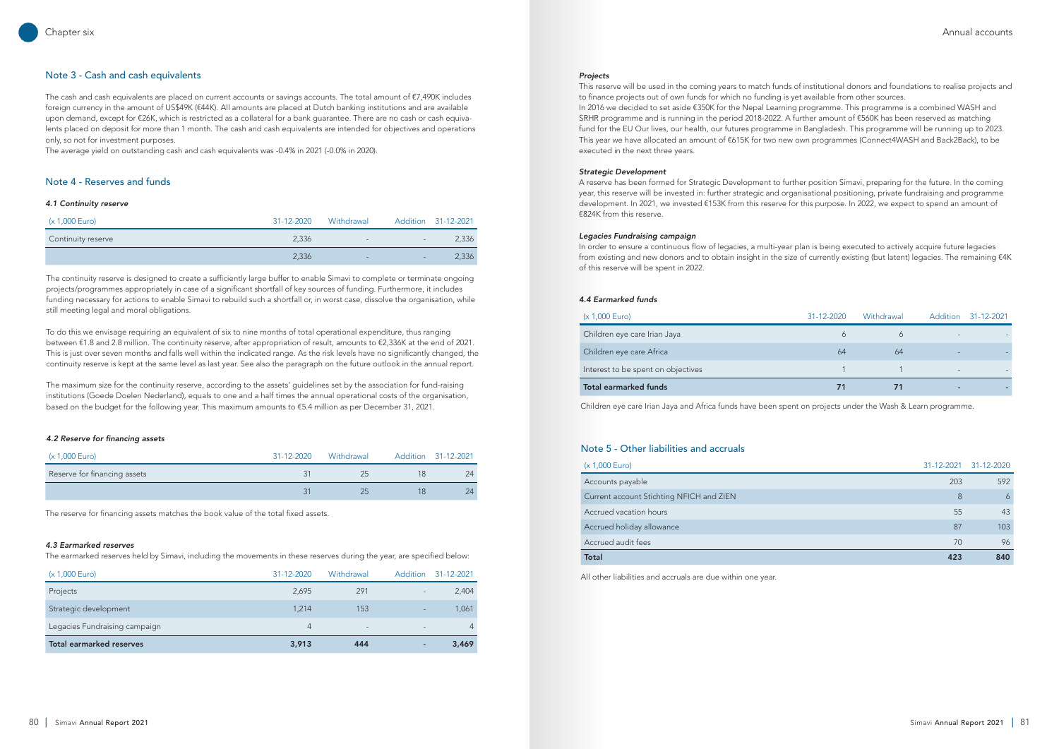|    | 31-12-2020 Withdrawal | Addition 31-12-2021 |
|----|-----------------------|---------------------|
|    |                       |                     |
| 64 | 64                    |                     |
|    |                       |                     |
| 71 | 71                    |                     |

## Note 3 - Cash and cash equivalents

The cash and cash equivalents are placed on current accounts or savings accounts. The total amount of  $\epsilon$ 7,490K includes foreign currency in the amount of US\$49K (€44K). All amounts are placed at Dutch banking institutions and are available upon demand, except for €26K, which is restricted as a collateral for a bank guarantee. There are no cash or cash equivalents placed on deposit for more than 1 month. The cash and cash equivalents are intended for objectives and operations only, so not for investment purposes.

The average yield on outstanding cash and cash equivalents was -0.4% in 2021 (-0.0% in 2020).

## Note 4 - Reserves and funds

### *4.1 Continuity reserve*

 $\overline{\phantom{a}}$ 

l,

| (x 1,000 Euro)     | 31-12-2020 | Withdrawal |                          | Addition 31-12-2021 |
|--------------------|------------|------------|--------------------------|---------------------|
| Continuity reserve | 2.336      | $-$        | $\overline{\phantom{a}}$ | 2,336               |
|                    | 2,336      | -          | $-$                      | 2,336               |

| (x 1,000 Euro)               | 31-12-2020 | Withdrawal | Addition 31-12-2021 |
|------------------------------|------------|------------|---------------------|
| Reserve for financing assets |            |            | 24                  |
|                              |            |            | $24^{\circ}$        |

| (x 1,000 Euro)                  | 31-12-2020 | Withdrawal               | Addition | 31-12-2021 |
|---------------------------------|------------|--------------------------|----------|------------|
| Projects                        | 2,695      | 291                      |          | 2,404      |
| Strategic development           | 1.214      | 153                      |          | 1.061      |
| Legacies Fundraising campaign   | 4          | $\overline{\phantom{0}}$ |          | 4          |
| <b>Total earmarked reserves</b> | 3,913      | 444                      |          | 3,469      |
|                                 |            |                          |          |            |

The continuity reserve is designed to create a sufficiently large buffer to enable Simavi to complete or terminate ongoing projects/programmes appropriately in case of a significant shortfall of key sources of funding. Furthermore, it includes funding necessary for actions to enable Simavi to rebuild such a shortfall or, in worst case, dissolve the organisation, while still meeting legal and moral obligations.

To do this we envisage requiring an equivalent of six to nine months of total operational expenditure, thus ranging between €1.8 and 2.8 million. The continuity reserve, after appropriation of result, amounts to €2,336K at the end of 2021. This is just over seven months and falls well within the indicated range. As the risk levels have no significantly changed, the continuity reserve is kept at the same level as last year. See also the paragraph on the future outlook in the annual report.

The maximum size for the continuity reserve, according to the assets' guidelines set by the association for fund-raising institutions (Goede Doelen Nederland), equals to one and a half times the annual operational costs of the organisation, based on the budget for the following year. This maximum amounts to €5.4 million as per December 31, 2021.

### *4.2 Reserve for financing assets*

### *4.3 Earmarked reserves*

The earmarked reserves held by Simavi, including the movements in these reserves during the year, are specified below:

## *Projects*

This reserve will be used in the coming years to match funds of institutional donors and foundations to realise projects and to finance projects out of own funds for which no funding is yet available from other sources. In 2016 we decided to set aside €350K for the Nepal Learning programme. This programme is a combined WASH and SRHR programme and is running in the period 2018-2022. A further amount of €560K has been reserved as matching fund for the EU Our lives, our health, our futures programme in Bangladesh. This programme will be running up to 2023. This year we have allocated an amount of €615K for two new own programmes (Connect4WASH and Back2Back), to be executed in the next three years.

#### *Strategic Development*

A reserve has been formed for Strategic Development to further position Simavi, preparing for the future. In the coming year, this reserve will be invested in: further strategic and organisational positioning, private fundraising and programme development. In 2021, we invested €153K from this reserve for this purpose. In 2022, we expect to spend an amount of €824K from this reserve.

#### *Legacies Fundraising campaign*

In order to ensure a continuous flow of legacies, a multi-year plan is being executed to actively acquire future legacies from existing and new donors and to obtain insight in the size of currently existing (but latent) legacies. The remaining €4K of this reserve will be spent in 2022.

### *4.4 Earmarked funds*

## (x 1,000 Euro)

L

L

Children eye care Irian Jaya Children eye care Africa

Interest to be spent on objectives

Total earmarked funds

Children eye care Irian Jaya and Africa funds have been spent on projects under the Wash & Learn programme.

The reserve for financing assets matches the book value of the total fixed assets.

## Note 5 - Other liabilities and accruals

All other liabilities and accruals are due within one year.

| (x 1,000 Euro)                           |     | 31-12-2021 31-12-2020 |
|------------------------------------------|-----|-----------------------|
| Accounts payable                         | 203 | 592                   |
| Current account Stichting NFICH and ZIEN | 8   | 6                     |
| Accrued vacation hours                   | 55  | 43                    |
| Accrued holiday allowance                | 87  | 103                   |
| Accrued audit fees                       | 70  | 96                    |
| <b>Total</b>                             | 423 | 840                   |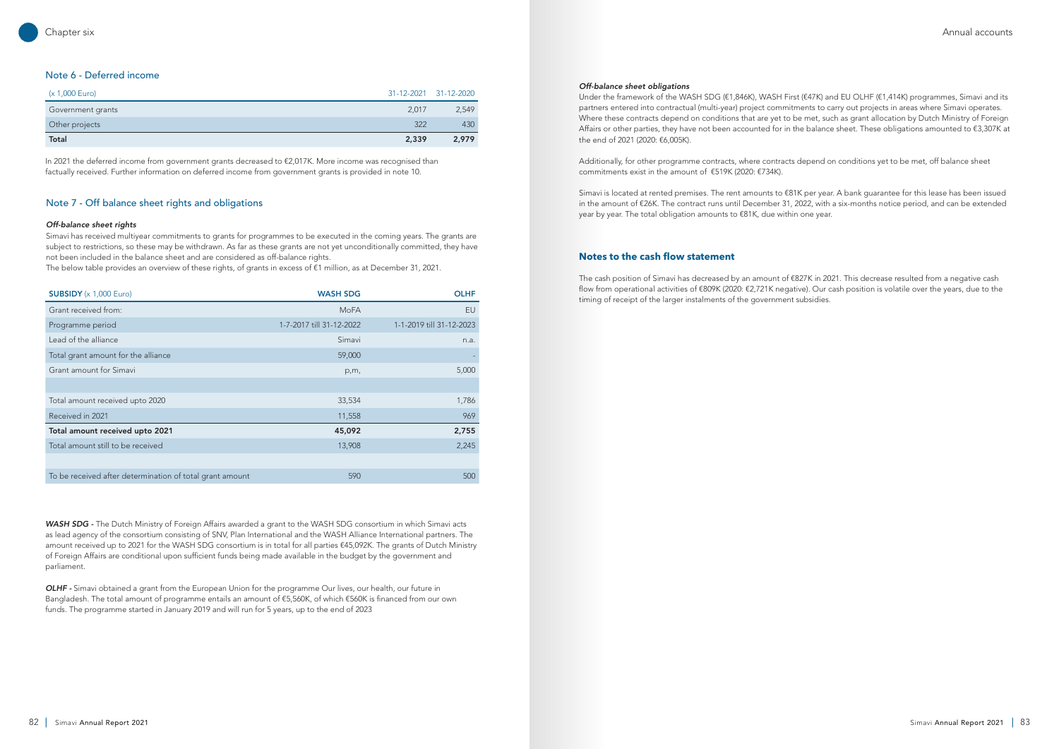## Note 6 - Deferred income

| (x 1,000 Euro)    |       | 31-12-2021 31-12-2020 |
|-------------------|-------|-----------------------|
| Government grants | 2.017 | 2,549                 |
| Other projects    | 322   | 430                   |
| Total             | 2,339 | 2,979                 |

| <b>SUBSIDY</b> $(x 1,000$ Euro)                          | <b>WASH SDG</b>          | <b>OLHF</b>              |
|----------------------------------------------------------|--------------------------|--------------------------|
| Grant received from:                                     | MoFA                     | EU                       |
| Programme period                                         | 1-7-2017 till 31-12-2022 | 1-1-2019 till 31-12-2023 |
| Lead of the alliance                                     | Simavi                   | n.a.                     |
| Total grant amount for the alliance                      | 59,000                   |                          |
| Grant amount for Simavi                                  | p,m,                     | 5,000                    |
|                                                          |                          |                          |
| Total amount received upto 2020                          | 33,534                   | 1,786                    |
| Received in 2021                                         | 11,558                   | 969                      |
| Total amount received upto 2021                          | 45,092                   | 2,755                    |
| Total amount still to be received                        | 13,908                   | 2,245                    |
|                                                          |                          |                          |
| To be received after determination of total grant amount | 590                      | 500                      |
|                                                          |                          |                          |

In 2021 the deferred income from government grants decreased to €2,017K. More income was recognised than factually received. Further information on deferred income from government grants is provided in note 10.

## Note 7 - Off balance sheet rights and obligations

## *Off-balance sheet rights*

Simavi has received multiyear commitments to grants for programmes to be executed in the coming years. The grants are subject to restrictions, so these may be withdrawn. As far as these grants are not yet unconditionally committed, they have not been included in the balance sheet and are considered as off-balance rights.

The below table provides an overview of these rights, of grants in excess of €1 million, as at December 31, 2021.

*WASH SDG -* The Dutch Ministry of Foreign Affairs awarded a grant to the WASH SDG consortium in which Simavi acts as lead agency of the consortium consisting of SNV, Plan International and the WASH Alliance International partners. The amount received up to 2021 for the WASH SDG consortium is in total for all parties €45,092K. The grants of Dutch Ministry of Foreign Affairs are conditional upon sufficient funds being made available in the budget by the government and parliament.

*OLHF -* Simavi obtained a grant from the European Union for the programme Our lives, our health, our future in Bangladesh. The total amount of programme entails an amount of €5,560K, of which €560K is financed from our own funds. The programme started in January 2019 and will run for 5 years, up to the end of 2023

## *Off-balance sheet obligations*

Under the framework of the WASH SDG (€1,846K), WASH First (€47K) and EU OLHF (€1,414K) programmes, Simavi and its partners entered into contractual (multi-year) project commitments to carry out projects in areas where Simavi operates. Where these contracts depend on conditions that are yet to be met, such as grant allocation by Dutch Ministry of Foreign Affairs or other parties, they have not been accounted for in the balance sheet. These obligations amounted to €3,307K at the end of 2021 (2020: €6,005K).

Additionally, for other programme contracts, where contracts depend on conditions yet to be met, off balance sheet commitments exist in the amount of €519K (2020: €734K).

Simavi is located at rented premises. The rent amounts to €81K per year. A bank guarantee for this lease has been issued in the amount of €26K. The contract runs until December 31, 2022, with a six-months notice period, and can be extended year by year. The total obligation amounts to €81K, due within one year.

## **Notes to the cash flow statement**

The cash position of Simavi has decreased by an amount of €827K in 2021. This decrease resulted from a negative cash flow from operational activities of €809K (2020: €2,721K negative). Our cash position is volatile over the years, due to the timing of receipt of the larger instalments of the government subsidies.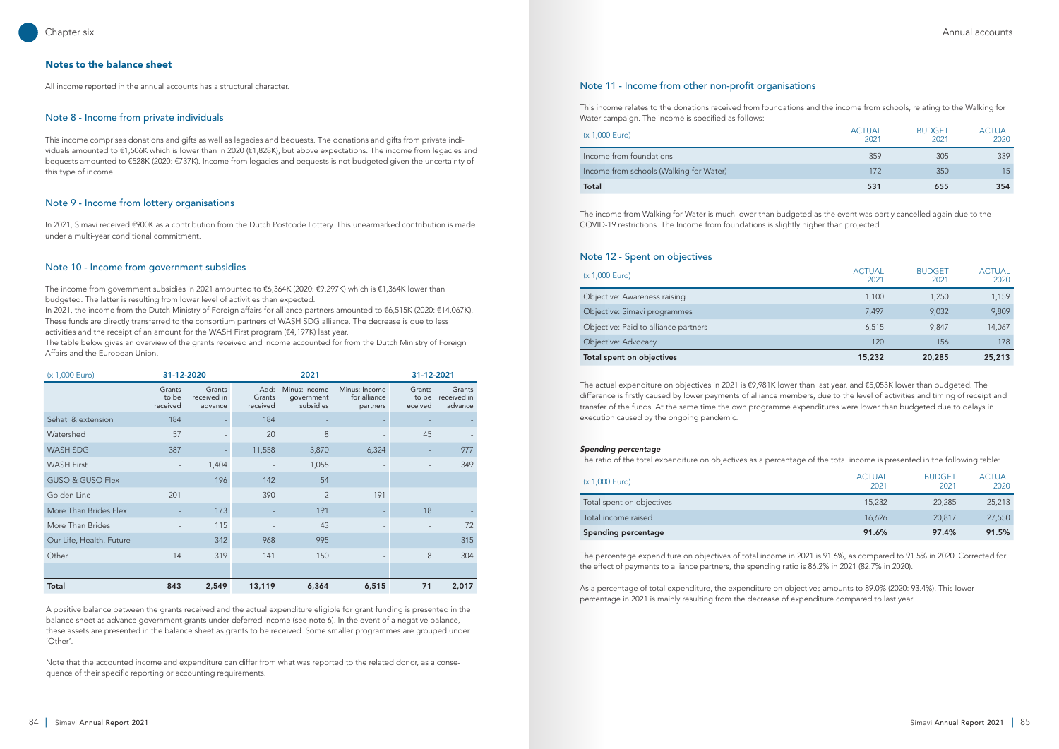## **Notes to the balance sheet**

All income reported in the annual accounts has a structural character.

## Note 8 - Income from private individuals

This income comprises donations and gifts as well as legacies and bequests. The donations and gifts from private individuals amounted to €1,506K which is lower than in 2020 (€1,828K), but above expectations. The income from legacies and bequests amounted to €528K (2020: €737K). Income from legacies and bequests is not budgeted given the uncertainty of this type of income.

## Note 9 - Income from lottery organisations

In 2021, Simavi received €900K as a contribution from the Dutch Postcode Lottery. This unearmarked contribution is made under a multi-year conditional commitment.

## Note 10 - Income from government subsidies

The income from government subsidies in 2021 amounted to €6,364K (2020: €9,297K) which is €1,364K lower than budgeted. The latter is resulting from lower level of activities than expected.

In 2021, the income from the Dutch Ministry of Foreign affairs for alliance partners amounted to €6,515K (2020: €14,067K). These funds are directly transferred to the consortium partners of WASH SDG alliance. The decrease is due to less activities and the receipt of an amount for the WASH First program (€4,197K) last year.

The table below gives an overview of the grants received and income accounted for from the Dutch Ministry of Foreign Affairs and the European Union.

| (x 1,000 Euro)              |                             | 31-12-2020<br>2021               |                            |                                          |                                           | 31-12-2021                 |                                  |
|-----------------------------|-----------------------------|----------------------------------|----------------------------|------------------------------------------|-------------------------------------------|----------------------------|----------------------------------|
|                             | Grants<br>to be<br>received | Grants<br>received in<br>advance | Add:<br>Grants<br>received | Minus: Income<br>government<br>subsidies | Minus: Income<br>for alliance<br>partners | Grants<br>to be<br>eceived | Grants<br>received in<br>advance |
| Sehati & extension          | 184                         |                                  | 184                        |                                          |                                           |                            |                                  |
| Watershed                   | 57                          |                                  | 20                         | 8                                        |                                           | 45                         |                                  |
| <b>WASH SDG</b>             | 387                         |                                  | 11,558                     | 3,870                                    | 6,324                                     | $\overline{\phantom{a}}$   | 977                              |
| <b>WASH First</b>           |                             | 1,404                            |                            | 1,055                                    |                                           |                            | 349                              |
| <b>GUSO &amp; GUSO Flex</b> |                             | 196                              | $-142$                     | 54                                       |                                           |                            |                                  |
| Golden Line                 | 201                         |                                  | 390                        | $-2$                                     | 191                                       |                            |                                  |
| More Than Brides Flex       |                             | 173                              |                            | 191                                      |                                           | 18                         |                                  |
| More Than Brides            |                             | 115                              |                            | 43                                       |                                           |                            | 72                               |
| Our Life, Health, Future    |                             | 342                              | 968                        | 995                                      |                                           |                            | 315                              |
| Other                       | 14                          | 319                              | 141                        | 150                                      |                                           | 8                          | 304                              |
|                             |                             |                                  |                            |                                          |                                           |                            |                                  |
| Total                       | 843                         | 2,549                            | 13,119                     | 6,364                                    | 6,515                                     | 71                         | 2,017                            |

A positive balance between the grants received and the actual expenditure eligible for grant funding is presented in the balance sheet as advance government grants under deferred income (see note 6). In the event of a negative balance, these assets are presented in the balance sheet as grants to be received. Some smaller programmes are grouped under 'Other'.

Note that the accounted income and expenditure can differ from what was reported to the related donor, as a consequence of their specific reporting or accounting requirements.

## Note 11 - Income from other non-profit organisations

This income relates to the donations received from foundations and the income from schools, relating to the Walking for Water campaign. The income is specified as follows:

## $(x 1,000$  Euro)

| Total                                   |
|-----------------------------------------|
| Income from schools (Walking for Water) |
| Income from foundations                 |

| Total                                   | 531                   | 655                   | 354                   |
|-----------------------------------------|-----------------------|-----------------------|-----------------------|
| Income from schools (Walking for Water) | 172                   | 350                   | 15 <sup>1</sup>       |
| Income from foundations                 | 359                   | 305                   | 339                   |
| (x 1,000 Euro)                          | <b>ACTUAL</b><br>2021 | <b>BUDGET</b><br>2021 | <b>ACTUAL</b><br>2020 |

The income from Walking for Water is much lower than budgeted as the event was partly cancelled again due to the COVID-19 restrictions. The Income from foundations is slightly higher than projected.

## Note 12 - Spent on objectives

| Total spent on objectives            | 15,232                | 20,285                | 25,213                |
|--------------------------------------|-----------------------|-----------------------|-----------------------|
| Objective: Advocacy                  | 120                   | 156                   | 178                   |
| Objective: Paid to alliance partners | 6,515                 | 9.847                 | 14,067                |
| Objective: Simavi programmes         | 7,497                 | 9,032                 | 9,809                 |
| Objective: Awareness raising         | 1,100                 | 1,250                 | 1,159                 |
| (x 1,000 Euro)                       | <b>ACTUAL</b><br>2021 | <b>BUDGET</b><br>2021 | <b>ACTUAL</b><br>2020 |

The actual expenditure on objectives in 2021 is €9,981K lower than last year, and €5,053K lower than budgeted. The difference is firstly caused by lower payments of alliance members, due to the level of activities and timing of receipt and transfer of the funds. At the same time the own programme expenditures were lower than budgeted due to delays in execution caused by the ongoing pandemic.

### *Spending percentage*

The ratio of the total expenditure on objectives as a percentage of the total income is presented in the following table:

### $(x 1,000$  Euro)

| <b>ACTUAL</b><br>2021 | <b>BUDGET</b><br>2021 | <b>ACTUAL</b><br>2020 |
|-----------------------|-----------------------|-----------------------|
| 15,232                | 20,285                | 25,213                |
| 16,626                | 20,817                | 27,550                |
| 91.6%                 | 97.4%                 | 91.5%                 |

| <b>Spending percentage</b> | 91.6%  | 97.4%  | 91.5%  |
|----------------------------|--------|--------|--------|
| Total income raised        | 16.626 | 20,817 | 27,550 |
| Total spent on objectives  | 15,232 | 20.285 | 25,213 |

The percentage expenditure on objectives of total income in 2021 is 91.6%, as compared to 91.5% in 2020. Corrected for the effect of payments to alliance partners, the spending ratio is 86.2% in 2021 (82.7% in 2020).

As a percentage of total expenditure, the expenditure on objectives amounts to 89.0% (2020: 93.4%). This lower percentage in 2021 is mainly resulting from the decrease of expenditure compared to last year.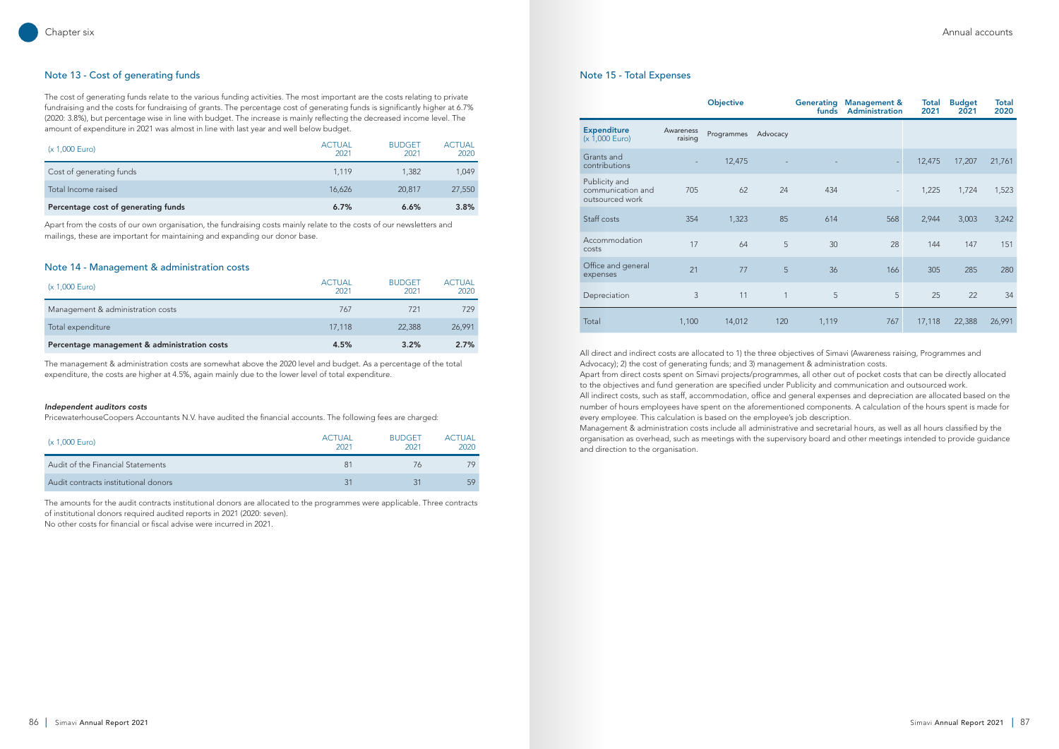## Note 13 - Cost of generating funds

The cost of generating funds relate to the various funding activities. The most important are the costs relating to private fundraising and the costs for fundraising of grants. The percentage cost of generating funds is significantly higher at 6.7% (2020: 3.8%), but percentage wise in line with budget. The increase is mainly reflecting the decreased income level. The amount of expenditure in 2021 was almost in line with last year and well below budget.

| (x 1,000 Euro)                      | <b>ACTUAL</b><br>2021 | <b>BUDGET</b><br>2021 | <b>ACTUAL</b><br>2020 |
|-------------------------------------|-----------------------|-----------------------|-----------------------|
| Cost of generating funds            | 1.119                 | 1,382                 | 1,049                 |
| Total Income raised                 | 16,626                | 20,817                | 27,550                |
| Percentage cost of generating funds | 6.7%                  | 6.6%                  | 3.8%                  |

Apart from the costs of our own organisation, the fundraising costs mainly relate to the costs of our newsletters and mailings, these are important for maintaining and expanding our donor base.

## Note 14 - Management & administration costs

| (x 1,000 Euro)                               | <b>ACTUAL</b><br>2021 | <b>BUDGET</b><br>2021 | <b>ACTUAL</b><br>2020 |
|----------------------------------------------|-----------------------|-----------------------|-----------------------|
| Management & administration costs            | 767                   | 721                   | 729                   |
| Total expenditure                            | 17,118                | 22,388                | 26,991                |
| Percentage management & administration costs | 4.5%                  | 3.2%                  | 2.7%                  |

The management & administration costs are somewhat above the 2020 level and budget. As a percentage of the total expenditure, the costs are higher at 4.5%, again mainly due to the lower level of total expenditure.

## *Independent auditors costs*

L

PricewaterhouseCoopers Accountants N.V. have audited the financial accounts. The following fees are charged:

| (x 1,000 Euro)                       | <b>ACTUAL</b><br>2021 | <b>BUDGET</b><br>2021 | <b>ACTUAL</b><br>2020 |
|--------------------------------------|-----------------------|-----------------------|-----------------------|
| Audit of the Financial Statements    | 81                    | 76                    | 79                    |
| Audit contracts institutional donors | 31                    | -31                   | 59                    |

The amounts for the audit contracts institutional donors are allocated to the programmes were applicable. Three contracts of institutional donors required audited reports in 2021 (2020: seven).

No other costs for financial or fiscal advise were incurred in 2021.

|                                                       |                      | <b>Objective</b> |          | <b>Generating</b><br>funds | <b>Management &amp;</b><br>Administration | Total<br>2021 | <b>Budget</b><br>2021 | <b>Total</b><br>2020 |
|-------------------------------------------------------|----------------------|------------------|----------|----------------------------|-------------------------------------------|---------------|-----------------------|----------------------|
| <b>Expenditure</b><br>(x 1,000 Euro)                  | Awareness<br>raising | Programmes       | Advocacy |                            |                                           |               |                       |                      |
| Grants and<br>contributions                           |                      | 12,475           |          |                            |                                           | 12,475        | 17,207                | 21,761               |
| Publicity and<br>communication and<br>outsourced work | 705                  | 62               | 24       | 434                        | $\overline{\phantom{a}}$                  | 1,225         | 1,724                 | 1,523                |
| Staff costs                                           | 354                  | 1,323            | 85       | 614                        | 568                                       | 2,944         | 3,003                 | 3,242                |
| Accommodation<br>costs                                | 17                   | 64               | 5        | 30                         | 28                                        | 144           | 147                   | 151                  |
| Office and general<br>expenses                        | 21                   | 77               | 5        | 36                         | 166                                       | 305           | 285                   | 280                  |
| Depreciation                                          | 3                    | 11               | 1        | 5                          | 5                                         | 25            | 22                    | 34                   |
| Total                                                 | 1,100                | 14,012           | 120      | 1,119                      | 767                                       | 17,118        | 22,388                | 26,991               |

## Note 15 - Total Expenses

L

All direct and indirect costs are allocated to 1) the three objectives of Simavi (Awareness raising, Programmes and Advocacy); 2) the cost of generating funds; and 3) management & administration costs. Apart from direct costs spent on Simavi projects/programmes, all other out of pocket costs that can be directly allocated to the objectives and fund generation are specified under Publicity and communication and outsourced work. All indirect costs, such as staff, accommodation, office and general expenses and depreciation are allocated based on the number of hours employees have spent on the aforementioned components. A calculation of the hours spent is made for every employee. This calculation is based on the employee's job description. Management & administration costs include all administrative and secretarial hours, as well as all hours classified by the organisation as overhead, such as meetings with the supervisory board and other meetings intended to provide guidance and direction to the organisation.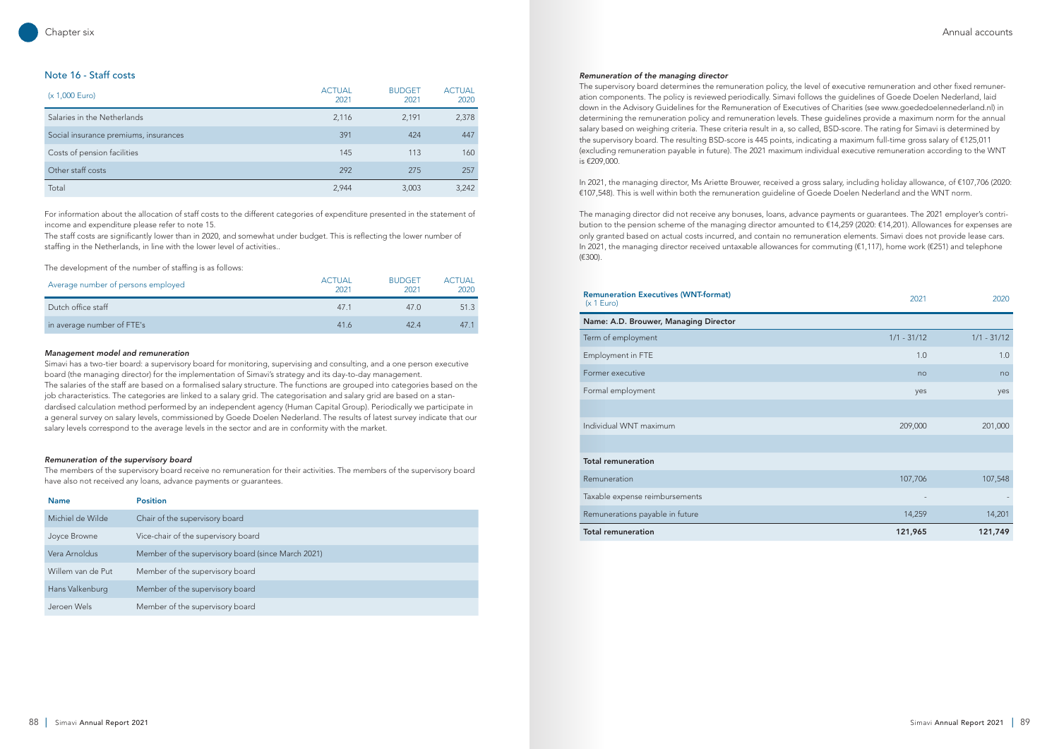## Note 16 - Staff costs

| (x 1,000 Euro)                        | <b>ACTUAL</b><br>2021 | <b>BUDGET</b><br>2021 | <b>ACTUAL</b><br>2020 |
|---------------------------------------|-----------------------|-----------------------|-----------------------|
| Salaries in the Netherlands           | 2,116                 | 2,191                 | 2,378                 |
| Social insurance premiums, insurances | 391                   | 424                   | 447                   |
| Costs of pension facilities           | 145                   | 113                   | 160                   |
| Other staff costs                     | 292                   | 275                   | 257                   |
| Total                                 | 2,944                 | 3,003                 | 3,242                 |

For information about the allocation of staff costs to the different categories of expenditure presented in the statement of income and expenditure please refer to note 15.

The staff costs are significantly lower than in 2020, and somewhat under budget. This is reflecting the lower number of staffing in the Netherlands, in line with the lower level of activities..

The development of the number of staffing is as follows:

| Average number of persons employed | <b>ACTUAL</b><br>2021 | <b>BUDGET</b><br>2021 | <b>ACTUAL</b><br>2020 |
|------------------------------------|-----------------------|-----------------------|-----------------------|
| Dutch office staff                 | 47 1                  | 47 Q                  | 51.3                  |
| in average number of FTE's         | 41.6                  | 424                   | 47.1                  |

## *Management model and remuneration*

Simavi has a two-tier board: a supervisory board for monitoring, supervising and consulting, and a one person executive board (the managing director) for the implementation of Simavi's strategy and its day-to-day management. The salaries of the staff are based on a formalised salary structure. The functions are grouped into categories based on the job characteristics. The categories are linked to a salary grid. The categorisation and salary grid are based on a standardised calculation method performed by an independent agency (Human Capital Group). Periodically we participate in a general survey on salary levels, commissioned by Goede Doelen Nederland. The results of latest survey indicate that our salary levels correspond to the average levels in the sector and are in conformity with the market.

## *Remuneration of the supervisory board*

The members of the supervisory board receive no remuneration for their activities. The members of the supervisory board have also not received any loans, advance payments or guarantees.

| <b>Name</b>       | <b>Position</b>                                    |
|-------------------|----------------------------------------------------|
| Michiel de Wilde  | Chair of the supervisory board                     |
| Joyce Browne      | Vice-chair of the supervisory board                |
| Vera Arnoldus     | Member of the supervisory board (since March 2021) |
| Willem van de Put | Member of the supervisory board                    |
| Hans Valkenburg   | Member of the supervisory board                    |
| Jeroen Wels       | Member of the supervisory board                    |

## *Remuneration of the managing director*

The supervisory board determines the remuneration policy, the level of executive remuneration and other fixed remuneration components. The policy is reviewed periodically. Simavi follows the guidelines of Goede Doelen Nederland, laid down in the Advisory Guidelines for the Remuneration of Executives of Charities (see www.goededoelennederland.nl) in determining the remuneration policy and remuneration levels. These guidelines provide a maximum norm for the annual salary based on weighing criteria. These criteria result in a, so called, BSD-score. The rating for Simavi is determined by the supervisory board. The resulting BSD-score is 445 points, indicating a maximum full-time gross salary of €125,011 (excluding remuneration payable in future). The 2021 maximum individual executive remuneration according to the WNT is €209,000.

In 2021, the managing director, Ms Ariette Brouwer, received a gross salary, including holiday allowance, of €107,706 (2020: €107,548). This is well within both the remuneration guideline of Goede Doelen Nederland and the WNT norm.

The managing director did not receive any bonuses, loans, advance payments or guarantees. The 2021 employer's contribution to the pension scheme of the managing director amounted to €14,259 (2020: €14,201). Allowances for expenses are only granted based on actual costs incurred, and contain no remuneration elements. Simavi does not provide lease cars. In 2021, the managing director received untaxable allowances for commuting (€1,117), home work (€251) and telephone (€300).

# **Remuneration Executives (WNT-format)**  $(x 1 \text{ Euro})$

| Name: A.D. Brouwer, Managing Director |
|---------------------------------------|
| Term of employment                    |
| Employment in FTE                     |
| Former executive                      |
| Formal employment                     |
|                                       |
| Individual WNT maximum                |
|                                       |
| <b>Total remuneration</b>             |
| Remuneration                          |
| Taxable expense reimbursements        |
| Remunerations payable in future       |
|                                       |

| <b>Total remuneration</b>                                 | 121,965       | 121,749       |
|-----------------------------------------------------------|---------------|---------------|
| Remunerations payable in future                           | 14,259        | 14,201        |
| Taxable expense reimbursements                            |               |               |
| Remuneration                                              | 107,706       | 107,548       |
| <b>Total remuneration</b>                                 |               |               |
|                                                           |               |               |
| Individual WNT maximum                                    | 209,000       | 201,000       |
|                                                           |               |               |
| Formal employment                                         | yes           | yes           |
| Former executive                                          | no            | no            |
| Employment in FTE                                         | 1.0           | 1.0           |
| Term of employment                                        | $1/1 - 31/12$ | $1/1 - 31/12$ |
| Name: A.D. Brouwer, Managing Director                     |               |               |
| <b>Remuneration Executives (WNT-format)</b><br>(x 1 Euro) | 2021          | 2020          |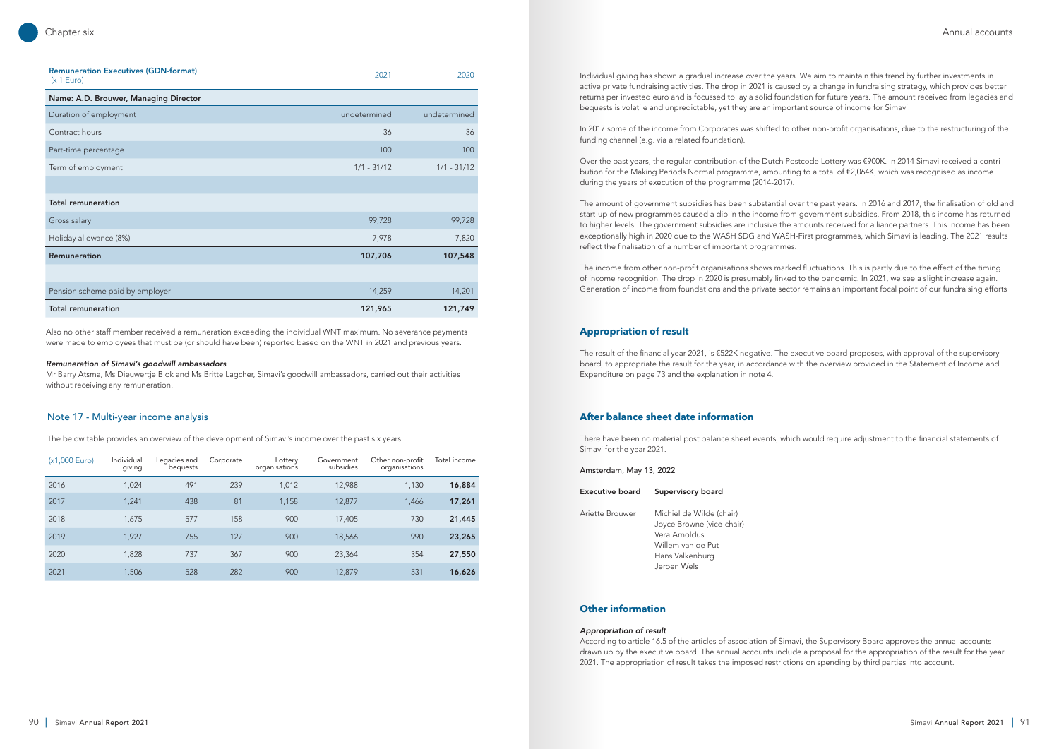| <b>Remuneration Executives (GDN-format)</b><br>(x 1 Euro) | 2021          | 2020          |
|-----------------------------------------------------------|---------------|---------------|
| Name: A.D. Brouwer, Managing Director                     |               |               |
| Duration of employment                                    | undetermined  | undetermined  |
| Contract hours                                            | 36            | 36            |
| Part-time percentage                                      | 100           | 100           |
| Term of employment                                        | $1/1 - 31/12$ | $1/1 - 31/12$ |
|                                                           |               |               |
| <b>Total remuneration</b>                                 |               |               |
| Gross salary                                              | 99,728        | 99,728        |
| Holiday allowance (8%)                                    | 7,978         | 7,820         |
| <b>Remuneration</b>                                       | 107,706       | 107,548       |
|                                                           |               |               |
| Pension scheme paid by employer                           | 14,259        | 14,201        |
| <b>Total remuneration</b>                                 | 121,965       | 121,749       |

| (x1,000 Euro) | Individual<br>giving | Legacies and<br>bequests | Corporate | Lottery<br>organisations | Government<br>subsidies | Other non-profit<br>organisations | Total income |
|---------------|----------------------|--------------------------|-----------|--------------------------|-------------------------|-----------------------------------|--------------|
| 2016          | 1,024                | 491                      | 239       | 1,012                    | 12,988                  | 1,130                             | 16,884       |
| 2017          | 1,241                | 438                      | 81        | 1,158                    | 12,877                  | 1,466                             | 17,261       |
| 2018          | 1,675                | 577                      | 158       | 900                      | 17,405                  | 730                               | 21,445       |
| 2019          | 1.927                | 755                      | 127       | 900                      | 18,566                  | 990                               | 23,265       |
| 2020          | 1,828                | 737                      | 367       | 900                      | 23,364                  | 354                               | 27,550       |
| 2021          | 1,506                | 528                      | 282       | 900                      | 12,879                  | 531                               | 16,626       |

Also no other staff member received a remuneration exceeding the individual WNT maximum. No severance payments were made to employees that must be (or should have been) reported based on the WNT in 2021 and previous years.

## *Remuneration of Simavi's goodwill ambassadors*

Mr Barry Atsma, Ms Dieuwertje Blok and Ms Britte Lagcher, Simavi's goodwill ambassadors, carried out their activities without receiving any remuneration.

## Note 17 - Multi-year income analysis

The below table provides an overview of the development of Simavi's income over the past six years.

Individual giving has shown a gradual increase over the years. We aim to maintain this trend by further investments in active private fundraising activities. The drop in 2021 is caused by a change in fundraising strategy, which provides better returns per invested euro and is focussed to lay a solid foundation for future years. The amount received from legacies and bequests is volatile and unpredictable, yet they are an important source of income for Simavi.

In 2017 some of the income from Corporates was shifted to other non-profit organisations, due to the restructuring of the funding channel (e.g. via a related foundation).

Over the past years, the regular contribution of the Dutch Postcode Lottery was €900K. In 2014 Simavi received a contribution for the Making Periods Normal programme, amounting to a total of €2,064K, which was recognised as income during the years of execution of the programme (2014-2017).

The amount of government subsidies has been substantial over the past years. In 2016 and 2017, the finalisation of old and start-up of new programmes caused a dip in the income from government subsidies. From 2018, this income has returned to higher levels. The government subsidies are inclusive the amounts received for alliance partners. This income has been exceptionally high in 2020 due to the WASH SDG and WASH-First programmes, which Simavi is leading. The 2021 results reflect the finalisation of a number of important programmes.

The income from other non-profit organisations shows marked fluctuations. This is partly due to the effect of the timing of income recognition. The drop in 2020 is presumably linked to the pandemic. In 2021, we see a slight increase again. Generation of income from foundations and the private sector remains an important focal point of our fundraising efforts

## **Appropriation of result**

The result of the financial year 2021, is €522K negative. The executive board proposes, with approval of the supervisory board, to appropriate the result for the year, in accordance with the overview provided in the Statement of Income and Expenditure on page 73 and the explanation in note 4.

## **After balance sheet date information**

There have been no material post balance sheet events, which would require adjustment to the financial statements of Simavi for the year 2021.

Amsterdam, May 13, 2022

| Executive board | Supervisory board                                                                                                             |
|-----------------|-------------------------------------------------------------------------------------------------------------------------------|
| Ariette Brouwer | Michiel de Wilde (chair)<br>Joyce Browne (vice-chair)<br>Vera Arnoldus<br>Willem van de Put<br>Hans Valkenburg<br>Jeroen Wels |

## **Other information**

### *Appropriation of result*

According to article 16.5 of the articles of association of Simavi, the Supervisory Board approves the annual accounts drawn up by the executive board. The annual accounts include a proposal for the appropriation of the result for the year 2021. The appropriation of result takes the imposed restrictions on spending by third parties into account.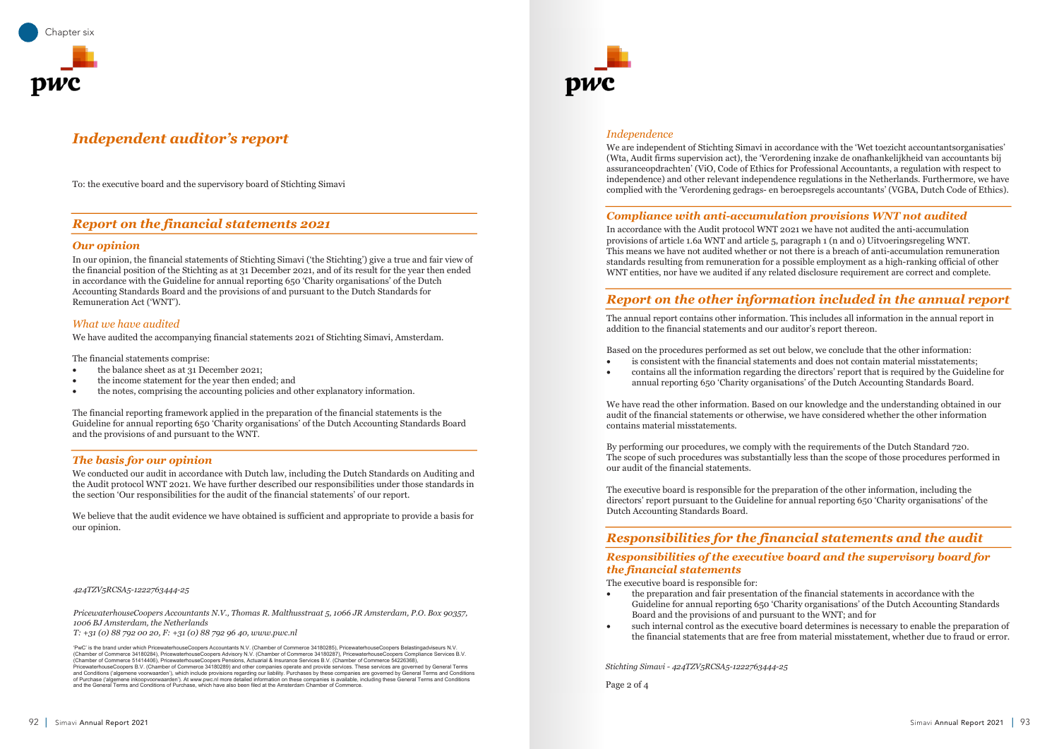#### *What we have audited* We have audited the accompanying financial statements 2021 of Stichting Simavi, Amsterdam. Amsterdam. Amsterdam

We have audited the accompanying financial statements 2021 of Stichting Simavi, Amsterdam.

The financial statements comprise:

- the balance sheet as at  $31$  December 2021;
- the income statement for the year then ended; and
- the notes, comprising the accounting policies and other explanatory information.

The financial reporting framework applied in the preparation of the financial statements is the Guideline for annual reporting 650 'Charity organisations' of the Dutch Accounting Standards Board and the provisions of and pursuant to the WNT.

## **The basis for our opinion that we have function** we have further described our responsibilities under the standards in the standards in the standards in the standards in the standards in the standards in the standards in We conducted our audit in accordance with Dutch law, including the Dutch Standards on  $\mathcal{L}$

We conducted our audit in accordance with Dutch law, including the Dutch Standards on Auditing and the Audit protocol WNT 2021. We have further described our responsibilities under those standards in the section 'Our responsibilities for the audit of the financial statements' of our report.

To: the executive board and the supervisory board of Stichting Simavi

## *Report on the financial statements 2021*

## *Our opinion* the financial position of the Stichting as at 31 December 2021, and of its result for the year then ended In our opinion, the financial statements of Stichting Simavi ('the Stichting') give a true and fair view of Stichting Simavi ('the Stichting') give and fair view of Stichting Simavi ('the Stichting') give and fair view of

In our opinion, the financial statements of Stichting Simavi ('the Stichting') give a true and fair view of the financial position of the Stichting as at 31 December 2021, and of its result for the year then ended in accordance with the Guideline for annual reporting 650 'Charity organisations' of the Dutch Accounting Standards Board and the provisions of and pursuant to the Dutch Standards for Remuneration Act ('WNT').

#### *Independence*  $W$  are independent of Stichting Simavi in accordance with the 'Wet toezicht accordance with the 'Wet toezicht accordance with the 'Wet toezicht accountantsorganisaties' in accordance with the 'Wet toezicht accountantsorg

We are independent of Stichting Simavi in accordance with the 'Wet toezicht accountantsorganisaties' (Wta, Audit firms supervision act), the 'Verordening inzake de onafhankelijkheid van accountants bij assuranceopdrachten' (ViO, Code of Ethics for Professional Accountants, a regulation with respect to independence) and other relevant independence regulations in the Netherlands. Furthermore, we have complied with the 'Verordening gedrags- en beroepsregels accountants' (VGBA, Dutch Code of Ethics).  $\sum_{i=1}^N \frac{1}{N_i}$ 

## *Compliance with anti-accumulation provisions WNT not audited* compuance wun anu-accumulation provisions WNT not audited

In accordance with the Audit protocol WNT 2021 we have not audited the anti-accumulation provisions of article 1.6a WNT and article 5, paragraph 1 (n and o) Uitvoeringsregeling WNT. This means we have not audited whether or not there is a breach of anti-accumulation remuneration standards resulting from remuneration for a possible employment as a high-ranking official of other WNT entities, nor have we audited if any related disclosure requirement are correct and complete.

## Report on the other information included in the annual report  $\overline{a}$  statements and our auditor's report there is report that  $\overline{a}$

The annual report contains other information. This includes all information in the annual report in addition to the financial statements and our auditor's report thereon.

Based on the procedures performed as set out below, we conclude that the other information: • is consistent with the financial statements and does not contain material misstatements; • contains all the information regarding the directors' report that is required by the Guideline for annual reporting 650 'Charity organisations' of the Dutch Accounting Standards Board.

- 
- 

We have read the other information. Based on our knowledge and the understanding obtained in our audit of the financial statements or otherwise, we have considered whether the other information contains material misstatements.

By performing our procedures, we comply with the requirements of the Dutch Standard 720. The scope of such procedures was substantially less than the scope of those procedures performed in our audit of the financial statements.

The executive board is responsible for the preparation of the other information, including the directors' report pursuant to the Guideline for annual reporting 650 'Charity organisations' of the Dutch Accounting Standards Board. *Puten Accounting standards board.* 

We believe that the audit evidence we have obtained is sufficient and appropriate to provide a basis for our opinion.

*424TZV5RCSA5-1222763444-25 PricewaterhouseCoopers Accountants N.V., Thomas R. Malthusstraat 5, 1066 JR Amsterdam, P.O. Box 90357, 1006 BJ Amsterdam, the Netherlands*

T: +31 (0) 88 792 00 20, F: +31 (0) 88 792 96 40, www.pwc.nl

*<sup>1</sup>* **BWC**<sup>2</sup> is the brand under which PricewaterhouseCoopers 'PwC' is the brand under which PricewaterhouseCoopers Accountants N.V. (Chamber of Commerce 34180285), PricewaterhouseCoopers Belastingadviseurs N.V.<br>(Chamber of Commerce 34180284), PricewaterhouseCoopers Advisory N.V. (Ch Theorem Conditions ("algemene voorwaarden"), which include provisions regarding our liability. Purchases by these companies are governed by General Terms and Conditions ("algemene voorwaarden"), which include provisions re and the General Terms and Conditions of Purchase, which have also been filed at the Amsterdam Chamber of Commerce. (Chamber of Commerce 51414406), PricewaterhouseCoopers Pensions, Actuarial & Insurance Services B.V. (Chamber of Commerce 54226368),<br>PricewaterhouseCoopers B.V. (Chamber of Commerce 34180289) and other companies operate an



## **Responsibilities for the financial statements and the audit** *Responsibilities of the executive board and the supervisory board for the financial statements*

## *the financial statements*  $\frac{1}{2}$  and  $\frac{1}{2}$  and  $\frac{1}{2}$  and  $\frac{1}{2}$  and  $\frac{1}{2}$  and  $\frac{1}{2}$  and  $\frac{1}{2}$  and  $\frac{1}{2}$  and  $\frac{1}{2}$  and  $\frac{1}{2}$  and  $\frac{1}{2}$  and  $\frac{1}{2}$  and  $\frac{1}{2}$  and  $\frac{1}{2}$  a Responsibilities by the executive

The executive board is responsible for:

- the preparation and fair presentation of the financial statements in accordance with the
- 

• such internal control as the executive board determines is necessary to enable the preparation of the financial statements that are free from material misstatement, whether due to fraud or error.

## *424TZV5RCSA5-1222763444-25*

*Stichting Simavi - 424TZV5RCSA5-1222763444-25*

Page 2 of 4

Guideline for annual reporting 650 'Charity organisations' of the Dutch Accounting Standards Board and the provisions of and pursuant to the WNT; and for



# **Independent auditor's report**